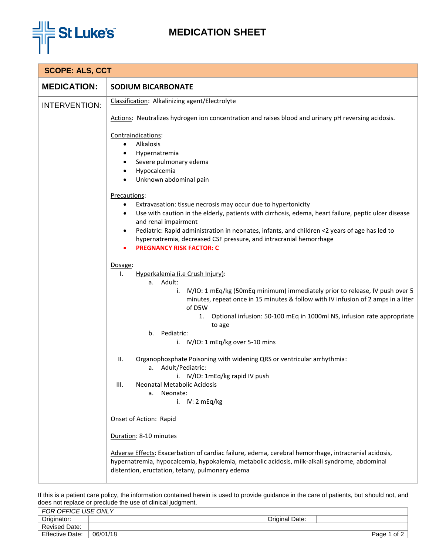

## **MEDICATION SHEET**

| <b>SCOPE: ALS, CCT</b> |                                                                                                                                                                                                                                                                                                                                                                                                                                                                                                                                                                                                                                                                                                                                                                                                                                                                                                                                                                                                                                                                                                                                                                                                                                                                                                                                                                                                           |  |
|------------------------|-----------------------------------------------------------------------------------------------------------------------------------------------------------------------------------------------------------------------------------------------------------------------------------------------------------------------------------------------------------------------------------------------------------------------------------------------------------------------------------------------------------------------------------------------------------------------------------------------------------------------------------------------------------------------------------------------------------------------------------------------------------------------------------------------------------------------------------------------------------------------------------------------------------------------------------------------------------------------------------------------------------------------------------------------------------------------------------------------------------------------------------------------------------------------------------------------------------------------------------------------------------------------------------------------------------------------------------------------------------------------------------------------------------|--|
| <b>MEDICATION:</b>     | <b>SODIUM BICARBONATE</b>                                                                                                                                                                                                                                                                                                                                                                                                                                                                                                                                                                                                                                                                                                                                                                                                                                                                                                                                                                                                                                                                                                                                                                                                                                                                                                                                                                                 |  |
| <b>INTERVENTION:</b>   | Classification: Alkalinizing agent/Electrolyte<br>Actions: Neutralizes hydrogen ion concentration and raises blood and urinary pH reversing acidosis.<br>Contraindications:<br>Alkalosis<br>$\bullet$<br>Hypernatremia<br>Severe pulmonary edema<br>Hypocalcemia<br>$\bullet$<br>Unknown abdominal pain<br>$\bullet$<br>Precautions:<br>Extravasation: tissue necrosis may occur due to hypertonicity<br>$\bullet$<br>Use with caution in the elderly, patients with cirrhosis, edema, heart failure, peptic ulcer disease<br>$\bullet$<br>and renal impairment<br>Pediatric: Rapid administration in neonates, infants, and children <2 years of age has led to<br>hypernatremia, decreased CSF pressure, and intracranial hemorrhage<br><b>PREGNANCY RISK FACTOR: C</b><br>Dosage:<br>Hyperkalemia (i.e Crush Injury):<br>Ι.<br>a. Adult:<br>i. IV/IO: 1 mEq/kg (50mEq minimum) immediately prior to release, IV push over 5<br>minutes, repeat once in 15 minutes & follow with IV infusion of 2 amps in a liter<br>of D5W<br>Optional infusion: 50-100 mEq in 1000ml NS, infusion rate appropriate<br>1.<br>to age<br>b. Pediatric:<br>i. IV/IO: 1 mEq/kg over 5-10 mins<br>ΙΙ.<br>Organophosphate Poisoning with widening QRS or ventricular arrhythmia:<br>a. Adult/Pediatric:<br>i. IV/IO: 1mEq/kg rapid IV push<br><b>Neonatal Metabolic Acidosis</b><br>III.<br>a. Neonate:<br>i. $IV: 2 mEq/kg$ |  |
|                        | Onset of Action: Rapid<br>Duration: 8-10 minutes<br>Adverse Effects: Exacerbation of cardiac failure, edema, cerebral hemorrhage, intracranial acidosis,<br>hypernatremia, hypocalcemia, hypokalemia, metabolic acidosis, milk-alkali syndrome, abdominal<br>distention, eructation, tetany, pulmonary edema                                                                                                                                                                                                                                                                                                                                                                                                                                                                                                                                                                                                                                                                                                                                                                                                                                                                                                                                                                                                                                                                                              |  |

If this is a patient care policy, the information contained herein is used to provide guidance in the care of patients, but should not, and does not replace or preclude the use of clinical judgment.

| <b>FOR OFFICE USE ONLY</b> |          |                |              |
|----------------------------|----------|----------------|--------------|
| Originator:                |          | Original Date: |              |
| <b>Revised Date:</b>       |          |                |              |
| <b>Effective Date:</b>     | 06/01/18 |                | of 2<br>Page |
|                            |          |                |              |